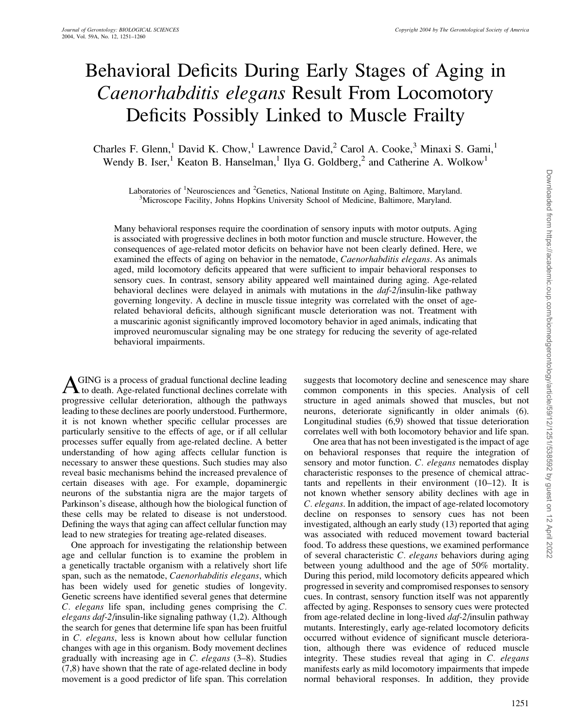# Behavioral Deficits During Early Stages of Aging in Caenorhabditis elegans Result From Locomotory Deficits Possibly Linked to Muscle Frailty

Charles F. Glenn,<sup>1</sup> David K. Chow,<sup>1</sup> Lawrence David,<sup>2</sup> Carol A. Cooke,<sup>3</sup> Minaxi S. Gami,<sup>1</sup> Wendy B. Iser,<sup>1</sup> Keaton B. Hanselman,<sup>1</sup> Ilya G. Goldberg,<sup>2</sup> and Catherine A. Wolkow<sup>1</sup>

Laboratories of <sup>1</sup>Neurosciences and <sup>2</sup>Genetics, National Institute on Aging, Baltimore, Maryland.<br><sup>3</sup>Microscope Escility, Johns Hopkins University School of Medicine, Baltimore, Maryland <sup>3</sup>Microscope Facility, Johns Hopkins University School of Medicine, Baltimore, Maryland.

Many behavioral responses require the coordination of sensory inputs with motor outputs. Aging is associated with progressive declines in both motor function and muscle structure. However, the consequences of age-related motor deficits on behavior have not been clearly defined. Here, we examined the effects of aging on behavior in the nematode, *Caenorhabditis elegans*. As animals aged, mild locomotory deficits appeared that were sufficient to impair behavioral responses to sensory cues. In contrast, sensory ability appeared well maintained during aging. Age-related behavioral declines were delayed in animals with mutations in the  $daf-2$ /insulin-like pathway governing longevity. A decline in muscle tissue integrity was correlated with the onset of agerelated behavioral deficits, although significant muscle deterioration was not. Treatment with a muscarinic agonist significantly improved locomotory behavior in aged animals, indicating that improved neuromuscular signaling may be one strategy for reducing the severity of age-related behavioral impairments.

AGING is a process of gradual functional decline leading<br>to death. Age-related functional declines correlate with progressive cellular deterioration, although the pathways leading to these declines are poorly understood. Furthermore, it is not known whether specific cellular processes are particularly sensitive to the effects of age, or if all cellular processes suffer equally from age-related decline. A better understanding of how aging affects cellular function is necessary to answer these questions. Such studies may also reveal basic mechanisms behind the increased prevalence of certain diseases with age. For example, dopaminergic neurons of the substantia nigra are the major targets of Parkinson's disease, although how the biological function of these cells may be related to disease is not understood. Defining the ways that aging can affect cellular function may lead to new strategies for treating age-related diseases.

One approach for investigating the relationship between age and cellular function is to examine the problem in a genetically tractable organism with a relatively short life span, such as the nematode, Caenorhabditis elegans, which has been widely used for genetic studies of longevity. Genetic screens have identified several genes that determine C. elegans life span, including genes comprising the C. elegans daf-2/insulin-like signaling pathway (1,2). Although the search for genes that determine life span has been fruitful in C. elegans, less is known about how cellular function changes with age in this organism. Body movement declines gradually with increasing age in  $C$ . elegans  $(3-8)$ . Studies (7,8) have shown that the rate of age-related decline in body movement is a good predictor of life span. This correlation

suggests that locomotory decline and senescence may share common components in this species. Analysis of cell structure in aged animals showed that muscles, but not neurons, deteriorate significantly in older animals (6). Longitudinal studies (6,9) showed that tissue deterioration correlates well with both locomotory behavior and life span.

One area that has not been investigated is the impact of age on behavioral responses that require the integration of sensory and motor function. C. elegans nematodes display characteristic responses to the presence of chemical attractants and repellents in their environment (10–12). It is not known whether sensory ability declines with age in C. elegans. In addition, the impact of age-related locomotory decline on responses to sensory cues has not been investigated, although an early study (13) reported that aging was associated with reduced movement toward bacterial food. To address these questions, we examined performance of several characteristic C. elegans behaviors during aging between young adulthood and the age of 50% mortality. During this period, mild locomotory deficits appeared which progressed in severity and compromised responses to sensory cues. In contrast, sensory function itself was not apparently affected by aging. Responses to sensory cues were protected from age-related decline in long-lived *daf-2*/insulin pathway mutants. Interestingly, early age-related locomotory deficits occurred without evidence of significant muscle deterioration, although there was evidence of reduced muscle integrity. These studies reveal that aging in C. elegans manifests early as mild locomotory impairments that impede normal behavioral responses. In addition, they provide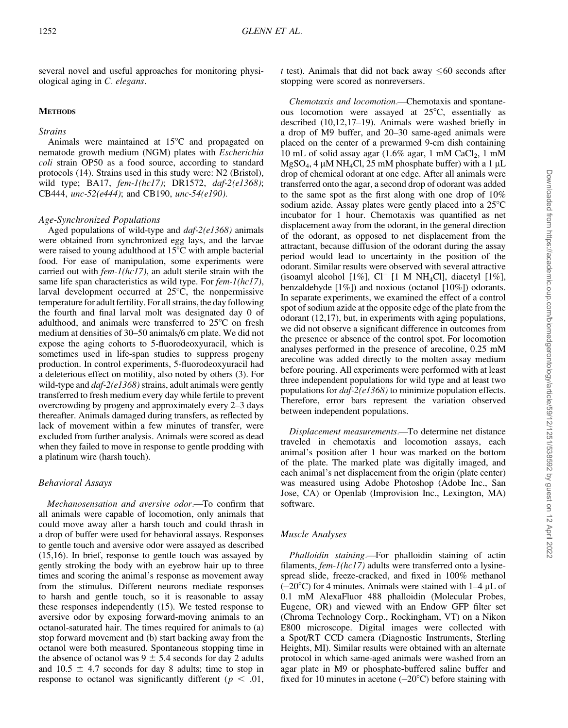several novel and useful approaches for monitoring physiological aging in C. elegans.

#### **METHODS**

#### Strains

Animals were maintained at  $15^{\circ}$ C and propagated on nematode growth medium (NGM) plates with Escherichia coli strain OP50 as a food source, according to standard protocols (14). Strains used in this study were: N2 (Bristol), wild type; BA17, fem-1(hc17); DR1572, daf-2(e1368); CB444, unc-52(e444); and CB190, unc-54(e190).

#### Age-Synchronized Populations

Aged populations of wild-type and  $daf-2$ (e1368) animals were obtained from synchronized egg lays, and the larvae were raised to young adulthood at  $15^{\circ}$ C with ample bacterial food. For ease of manipulation, some experiments were carried out with fem-1(hc17), an adult sterile strain with the same life span characteristics as wild type. For  $fem-l(hc17)$ , larval development occurred at  $25^{\circ}$ C, the nonpermissive temperature for adult fertility. For all strains, the day following the fourth and final larval molt was designated day 0 of adulthood, and animals were transferred to  $25^{\circ}$ C on fresh medium at densities of 30–50 animals/6 cm plate. We did not expose the aging cohorts to 5-fluorodeoxyuracil, which is sometimes used in life-span studies to suppress progeny production. In control experiments, 5-fluorodeoxyuracil had a deleterious effect on motility, also noted by others (3). For wild-type and  $daf-2(e1368)$  strains, adult animals were gently transferred to fresh medium every day while fertile to prevent overcrowding by progeny and approximately every 2–3 days thereafter. Animals damaged during transfers, as reflected by lack of movement within a few minutes of transfer, were excluded from further analysis. Animals were scored as dead when they failed to move in response to gentle prodding with a platinum wire (harsh touch).

## Behavioral Assays

Mechanosensation and aversive odor.—To confirm that all animals were capable of locomotion, only animals that could move away after a harsh touch and could thrash in a drop of buffer were used for behavioral assays. Responses to gentle touch and aversive odor were assayed as described (15,16). In brief, response to gentle touch was assayed by gently stroking the body with an eyebrow hair up to three times and scoring the animal's response as movement away from the stimulus. Different neurons mediate responses to harsh and gentle touch, so it is reasonable to assay these responses independently (15). We tested response to aversive odor by exposing forward-moving animals to an octanol-saturated hair. The times required for animals to (a) stop forward movement and (b) start backing away from the octanol were both measured. Spontaneous stopping time in the absence of octanol was  $9 \pm 5.4$  seconds for day 2 adults and 10.5  $\pm$  4.7 seconds for day 8 adults; time to stop in response to octanol was significantly different ( $p < .01$ , t test). Animals that did not back away  $\leq 60$  seconds after stopping were scored as nonreversers.

Chemotaxis and locomotion.—Chemotaxis and spontaneous locomotion were assayed at  $25^{\circ}$ C, essentially as described (10,12,17–19). Animals were washed briefly in a drop of M9 buffer, and 20–30 same-aged animals were placed on the center of a prewarmed 9-cm dish containing 10 mL of solid assay agar  $(1.6\%$  agar, 1 mM CaCl<sub>2</sub>, 1 mM  $MgSO_4$ , 4 µM NH<sub>4</sub>Cl, 25 mM phosphate buffer) with a 1 µL drop of chemical odorant at one edge. After all animals were transferred onto the agar, a second drop of odorant was added to the same spot as the first along with one drop of 10% sodium azide. Assay plates were gently placed into a  $25^{\circ}$ C incubator for 1 hour. Chemotaxis was quantified as net displacement away from the odorant, in the general direction of the odorant, as opposed to net displacement from the attractant, because diffusion of the odorant during the assay period would lead to uncertainty in the position of the odorant. Similar results were observed with several attractive (isoamyl alcohol  $[1\%]$ , Cl<sup>-</sup> [1 M NH<sub>4</sub>Cl], diacetyl  $[1\%]$ , benzaldehyde [1%]) and noxious (octanol [10%]) odorants. In separate experiments, we examined the effect of a control spot of sodium azide at the opposite edge of the plate from the odorant (12,17), but, in experiments with aging populations, we did not observe a significant difference in outcomes from the presence or absence of the control spot. For locomotion analyses performed in the presence of arecoline, 0.25 mM arecoline was added directly to the molten assay medium before pouring. All experiments were performed with at least three independent populations for wild type and at least two populations for daf-2(e1368) to minimize population effects. Therefore, error bars represent the variation observed between independent populations.

Displacement measurements.—To determine net distance traveled in chemotaxis and locomotion assays, each animal's position after 1 hour was marked on the bottom of the plate. The marked plate was digitally imaged, and each animal's net displacement from the origin (plate center) was measured using Adobe Photoshop (Adobe Inc., San Jose, CA) or Openlab (Improvision Inc., Lexington, MA) software.

# Muscle Analyses

Phalloidin staining.—For phalloidin staining of actin filaments, *fem-1(hc17)* adults were transferred onto a lysinespread slide, freeze-cracked, and fixed in 100% methanol  $(-20^{\circ}$ C) for 4 minutes. Animals were stained with 1–4 µL of 0.1 mM AlexaFluor 488 phalloidin (Molecular Probes, Eugene, OR) and viewed with an Endow GFP filter set (Chroma Technology Corp., Rockingham, VT) on a Nikon E800 microscope. Digital images were collected with a Spot/RT CCD camera (Diagnostic Instruments, Sterling Heights, MI). Similar results were obtained with an alternate protocol in which same-aged animals were washed from an agar plate in M9 or phosphate-buffered saline buffer and fixed for 10 minutes in acetone  $(-20^{\circ}C)$  before staining with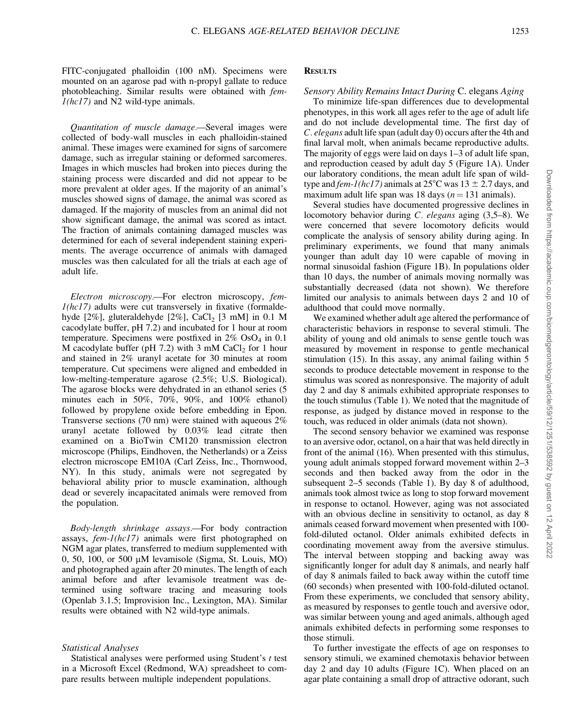FITC-conjugated phalloidin (100 nM). Specimens were mounted on an agarose pad with n-propyl gallate to reduce photobleaching. Similar results were obtained with fem- $1(hc17)$  and N2 wild-type animals.

Quantitation of muscle damage.—Several images were collected of body-wall muscles in each phalloidin-stained animal. These images were examined for signs of sarcomere damage, such as irregular staining or deformed sarcomeres. Images in which muscles had broken into pieces during the staining process were discarded and did not appear to be more prevalent at older ages. If the majority of an animal's muscles showed signs of damage, the animal was scored as damaged. If the majority of muscles from an animal did not show significant damage, the animal was scored as intact. The fraction of animals containing damaged muscles was determined for each of several independent staining experiments. The average occurrence of animals with damaged muscles was then calculated for all the trials at each age of adult life.

Electron microscopy.—For electron microscopy, fem- $1(hc17)$  adults were cut transversely in fixative (formaldehyde  $[2\%]$ , gluteraldehyde  $[2\%]$ , CaCl<sub>2</sub>  $[3 \text{ mM}]$  in 0.1 M cacodylate buffer, pH 7.2) and incubated for 1 hour at room temperature. Specimens were postfixed in  $2\%$  OsO<sub>4</sub> in 0.1 M cacodylate buffer (pH 7.2) with 3 mM CaCl<sub>2</sub> for 1 hour and stained in 2% uranyl acetate for 30 minutes at room temperature. Cut specimens were aligned and embedded in low-melting-temperature agarose (2.5%; U.S. Biological). The agarose blocks were dehydrated in an ethanol series (5 minutes each in 50%, 70%, 90%, and 100% ethanol) followed by propylene oxide before embedding in Epon. Transverse sections (70 nm) were stained with aqueous 2% uranyl acetate followed by 0.03% lead citrate then examined on a BioTwin CM120 transmission electron microscope (Philips, Eindhoven, the Netherlands) or a Zeiss electron microscope EM10A (Carl Zeiss, Inc., Thornwood, NY). In this study, animals were not segregated by behavioral ability prior to muscle examination, although dead or severely incapacitated animals were removed from the population.

Body-length shrinkage assays.—For body contraction assays, fem-1(hc17) animals were first photographed on NGM agar plates, transferred to medium supplemented with 0, 50, 100, or 500  $\mu$ M levamisole (Sigma, St. Louis, MO) and photographed again after 20 minutes. The length of each animal before and after levamisole treatment was determined using software tracing and measuring tools (Openlab 3.1.5; Improvision Inc., Lexington, MA). Similar results were obtained with N2 wild-type animals.

#### Statistical Analyses

Statistical analyses were performed using Student's t test in a Microsoft Excel (Redmond, WA) spreadsheet to compare results between multiple independent populations.

#### **RESULTS**

#### Sensory Ability Remains Intact During C. elegans Aging

To minimize life-span differences due to developmental phenotypes, in this work all ages refer to the age of adult life and do not include developmental time. The first day of C. elegans adult life span (adult day 0) occurs after the 4th and final larval molt, when animals became reproductive adults. The majority of eggs were laid on days 1–3 of adult life span, and reproduction ceased by adult day 5 (Figure 1A). Under our laboratory conditions, the mean adult life span of wildtype and fem-1(hc17) animals at  $25^{\circ}$ C was  $13 \pm 2.7$  days, and maximum adult life span was 18 days ( $n = 131$  animals).

Several studies have documented progressive declines in locomotory behavior during C. elegans aging (3,5–8). We were concerned that severe locomotory deficits would complicate the analysis of sensory ability during aging. In preliminary experiments, we found that many animals younger than adult day 10 were capable of moving in normal sinusoidal fashion (Figure 1B). In populations older than 10 days, the number of animals moving normally was substantially decreased (data not shown). We therefore limited our analysis to animals between days 2 and 10 of adulthood that could move normally.

We examined whether adult age altered the performance of characteristic behaviors in response to several stimuli. The ability of young and old animals to sense gentle touch was measured by movement in response to gentle mechanical stimulation (15). In this assay, any animal failing within 5 seconds to produce detectable movement in response to the stimulus was scored as nonresponsive. The majority of adult day 2 and day 8 animals exhibited appropriate responses to the touch stimulus (Table 1). We noted that the magnitude of response, as judged by distance moved in response to the touch, was reduced in older animals (data not shown).

The second sensory behavior we examined was response to an aversive odor, octanol, on a hair that was held directly in front of the animal (16). When presented with this stimulus, young adult animals stopped forward movement within 2–3 seconds and then backed away from the odor in the subsequent 2–5 seconds (Table 1). By day 8 of adulthood, animals took almost twice as long to stop forward movement in response to octanol. However, aging was not associated with an obvious decline in sensitivity to octanol, as day 8 animals ceased forward movement when presented with 100 fold-diluted octanol. Older animals exhibited defects in coordinating movement away from the aversive stimulus. The interval between stopping and backing away was significantly longer for adult day 8 animals, and nearly half of day 8 animals failed to back away within the cutoff time (60 seconds) when presented with 100-fold-diluted octanol. From these experiments, we concluded that sensory ability, as measured by responses to gentle touch and aversive odor, was similar between young and aged animals, although aged animals exhibited defects in performing some responses to those stimuli.

To further investigate the effects of age on responses to sensory stimuli, we examined chemotaxis behavior between day 2 and day 10 adults (Figure 1C). When placed on an agar plate containing a small drop of attractive odorant, such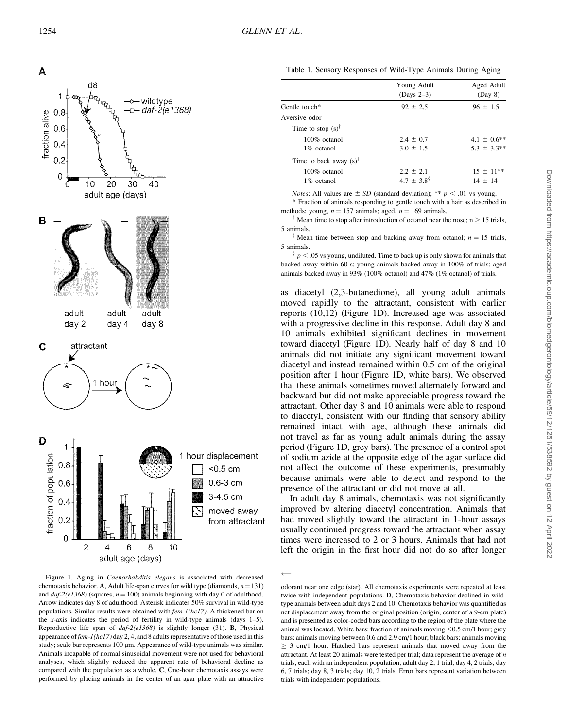

Figure 1. Aging in Caenorhabditis elegans is associated with decreased chemotaxis behavior. A, Adult life-span curves for wild type (diamonds,  $n = 131$ ) and  $daf-2(e1368)$  (squares,  $n = 100$ ) animals beginning with day 0 of adulthood. Arrow indicates day 8 of adulthood. Asterisk indicates 50% survival in wild-type populations. Similar results were obtained with fem-1(hc17). A thickened bar on the x-axis indicates the period of fertility in wild-type animals (days 1–5). Reproductive life span of  $daf-2(e1368)$  is slightly longer (31). **B**, Physical appearance offem-1(hc17) day 2, 4, and 8 adults representative of those used in this study; scale bar represents 100 µm. Appearance of wild-type animals was similar. Animals incapable of normal sinusoidal movement were not used for behavioral analyses, which slightly reduced the apparent rate of behavioral decline as compared with the population as a whole. C, One-hour chemotaxis assays were performed by placing animals in the center of an agar plate with an attractive

Table 1. Sensory Responses of Wild-Type Animals During Aging

|                                    | Young Adult<br>$(Days 2-3)$ | Aged Adult<br>(Day 8) |  |  |
|------------------------------------|-----------------------------|-----------------------|--|--|
| Gentle touch*                      | $92 \pm 2.5$                | $96 \pm 1.5$          |  |  |
| Aversive odor                      |                             |                       |  |  |
| Time to stop $(s)^\dagger$         |                             |                       |  |  |
| $100\%$ octanol                    | $2.4 \pm 0.7$               | $4.1 \pm 0.6$ **      |  |  |
| $1\%$ octanol                      | $3.0 \pm 1.5$               | $5.3 \pm 3.3**$       |  |  |
| Time to back away $(s)^{\ddagger}$ |                             |                       |  |  |
| $100\%$ octanol                    | $2.2 \pm 2.1$               | $15 \pm 11**$         |  |  |
| $1\%$ octanol                      | $4.7 \pm 3.8^{\$}$          | $14 \pm 14$           |  |  |
|                                    |                             |                       |  |  |

*Notes*: All values are  $\pm$  *SD* (standard deviation); \*\* p < .01 vs young. \* Fraction of animals responding to gentle touch with a hair as described in

methods; young,  $n = 157$  animals; aged,  $n = 169$  animals.

Mean time to stop after introduction of octanol near the nose;  $n \geq 15$  trials, 5 animals.

<sup>‡</sup> Mean time between stop and backing away from octanol;  $n = 15$  trials, 5 animals.

 $\frac$   $p$   $<$  .05 vs young, undiluted. Time to back up is only shown for animals that backed away within 60 s; young animals backed away in 100% of trials; aged animals backed away in 93% (100% octanol) and 47% (1% octanol) of trials.

as diacetyl (2,3-butanedione), all young adult animals moved rapidly to the attractant, consistent with earlier reports (10,12) (Figure 1D). Increased age was associated with a progressive decline in this response. Adult day 8 and 10 animals exhibited significant declines in movement toward diacetyl (Figure 1D). Nearly half of day 8 and 10 animals did not initiate any significant movement toward diacetyl and instead remained within 0.5 cm of the original position after 1 hour (Figure 1D, white bars). We observed that these animals sometimes moved alternately forward and backward but did not make appreciable progress toward the attractant. Other day 8 and 10 animals were able to respond to diacetyl, consistent with our finding that sensory ability remained intact with age, although these animals did not travel as far as young adult animals during the assay period (Figure 1D, grey bars). The presence of a control spot of sodium azide at the opposite edge of the agar surface did not affect the outcome of these experiments, presumably because animals were able to detect and respond to the presence of the attractant or did not move at all.

In adult day 8 animals, chemotaxis was not significantly improved by altering diacetyl concentration. Animals that had moved slightly toward the attractant in 1-hour assays usually continued progress toward the attractant when assay times were increased to 2 or 3 hours. Animals that had not left the origin in the first hour did not do so after longer

 $\leftarrow$ 

odorant near one edge (star). All chemotaxis experiments were repeated at least twice with independent populations. D, Chemotaxis behavior declined in wildtype animals between adult days 2 and 10. Chemotaxis behavior was quantified as net displacement away from the original position (origin, center of a 9-cm plate) and is presented as color-coded bars according to the region of the plate where the animal was located. White bars: fraction of animals moving  $\leq 0.5$  cm/1 hour; grey bars: animals moving between 0.6 and 2.9 cm/1 hour; black bars: animals moving  $\geq$  3 cm/1 hour. Hatched bars represent animals that moved away from the attractant. At least 20 animals were tested per trial; data represent the average of n trials, each with an independent population; adult day 2, 1 trial; day 4, 2 trials; day 6, 7 trials; day 8, 3 trials; day 10, 2 trials. Error bars represent variation between trials with independent populations.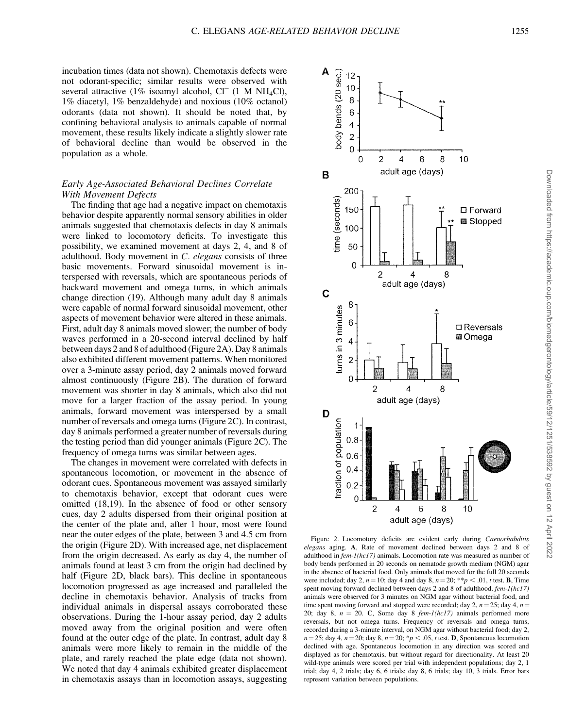incubation times (data not shown). Chemotaxis defects were not odorant-specific; similar results were observed with several attractive (1% isoamyl alcohol,  $CI^-$  (1 M NH<sub>4</sub>Cl), 1% diacetyl, 1% benzaldehyde) and noxious (10% octanol) odorants (data not shown). It should be noted that, by confining behavioral analysis to animals capable of normal movement, these results likely indicate a slightly slower rate of behavioral decline than would be observed in the population as a whole.

# Early Age-Associated Behavioral Declines Correlate With Movement Defects

The finding that age had a negative impact on chemotaxis behavior despite apparently normal sensory abilities in older animals suggested that chemotaxis defects in day 8 animals were linked to locomotory deficits. To investigate this possibility, we examined movement at days 2, 4, and 8 of adulthood. Body movement in C. elegans consists of three basic movements. Forward sinusoidal movement is interspersed with reversals, which are spontaneous periods of backward movement and omega turns, in which animals change direction (19). Although many adult day 8 animals were capable of normal forward sinusoidal movement, other aspects of movement behavior were altered in these animals. First, adult day 8 animals moved slower; the number of body waves performed in a 20-second interval declined by half between days 2 and 8 of adulthood (Figure 2A). Day 8 animals also exhibited different movement patterns. When monitored over a 3-minute assay period, day 2 animals moved forward almost continuously (Figure 2B). The duration of forward movement was shorter in day 8 animals, which also did not move for a larger fraction of the assay period. In young animals, forward movement was interspersed by a small number of reversals and omega turns (Figure 2C). In contrast, day 8 animals performed a greater number of reversals during the testing period than did younger animals (Figure 2C). The frequency of omega turns was similar between ages.

The changes in movement were correlated with defects in spontaneous locomotion, or movement in the absence of odorant cues. Spontaneous movement was assayed similarly to chemotaxis behavior, except that odorant cues were omitted (18,19). In the absence of food or other sensory cues, day 2 adults dispersed from their original position at the center of the plate and, after 1 hour, most were found near the outer edges of the plate, between 3 and 4.5 cm from the origin (Figure 2D). With increased age, net displacement from the origin decreased. As early as day 4, the number of animals found at least 3 cm from the origin had declined by half (Figure 2D, black bars). This decline in spontaneous locomotion progressed as age increased and paralleled the decline in chemotaxis behavior. Analysis of tracks from individual animals in dispersal assays corroborated these observations. During the 1-hour assay period, day 2 adults moved away from the original position and were often found at the outer edge of the plate. In contrast, adult day 8 animals were more likely to remain in the middle of the plate, and rarely reached the plate edge (data not shown). We noted that day 4 animals exhibited greater displacement in chemotaxis assays than in locomotion assays, suggesting



Figure 2. Locomotory deficits are evident early during Caenorhabditis elegans aging. A, Rate of movement declined between days 2 and 8 of adulthood in fem-1(hc17) animals. Locomotion rate was measured as number of body bends performed in 20 seconds on nematode growth medium (NGM) agar in the absence of bacterial food. Only animals that moved for the full 20 seconds were included; day 2,  $n = 10$ ; day 4 and day 8,  $n = 20$ ; \*\*p < .01, t test. **B**, Time spent moving forward declined between days 2 and 8 of adulthood. fem-1(hc17) animals were observed for 3 minutes on NGM agar without bacterial food, and time spent moving forward and stopped were recorded; day 2,  $n = 25$ ; day 4,  $n =$ 20; day 8,  $n = 20$ . C, Some day 8 *fem-1(hc17)* animals performed more reversals, but not omega turns. Frequency of reversals and omega turns, recorded during a 3-minute interval, on NGM agar without bacterial food; day 2,  $n=25$ ; day 4,  $n=20$ ; day 8,  $n=20$ ; \*p < .05, t test. D, Spontaneous locomotion declined with age. Spontaneous locomotion in any direction was scored and displayed as for chemotaxis, but without regard for directionality. At least 20 wild-type animals were scored per trial with independent populations; day 2, 1 trial; day 4, 2 trials; day 6, 6 trials; day 8, 6 trials; day 10, 3 trials. Error bars represent variation between populations.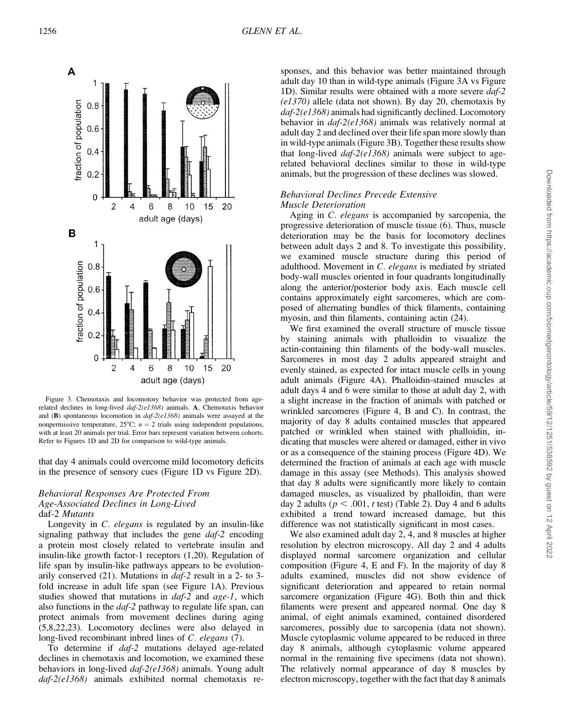

Figure 3. Chemotaxis and locomotory behavior was protected from agerelated declines in long-lived daf-2(e1368) animals. A, Chemotaxis behavior and (B) spontaneous locomotion in  $daf-2(e1368)$  animals were assayed at the nonpermissive temperature,  $25^{\circ}\text{C}$ ;  $n = 2$  trials using independent populations, with at least 20 animals per trial. Error bars represent variation between cohorts. Refer to Figures 1D and 2D for comparison to wild-type animals.

that day 4 animals could overcome mild locomotory deficits in the presence of sensory cues (Figure 1D vs Figure 2D).

# Behavioral Responses Are Protected From Age-Associated Declines in Long-Lived daf-2 Mutants

Longevity in C. elegans is regulated by an insulin-like signaling pathway that includes the gene *daf-2* encoding a protein most closely related to vertebrate insulin and insulin-like growth factor-1 receptors (1,20). Regulation of life span by insulin-like pathways appears to be evolutionarily conserved (21). Mutations in daf-2 result in a 2- to 3 fold increase in adult life span (see Figure 1A). Previous studies showed that mutations in  $\frac{da}{r^2}$  and  $\frac{age-1}{}$ , whichalso functions in the daf-2 pathway to regulate life span, can protect animals from movement declines during aging (5,8,22,23). Locomotory declines were also delayed in long-lived recombinant inbred lines of C. elegans (7).

To determine if *daf-2* mutations delayed age-related declines in chemotaxis and locomotion, we examined these behaviors in long-lived daf-2(e1368) animals. Young adult daf-2(e1368) animals exhibited normal chemotaxis responses, and this behavior was better maintained through adult day 10 than in wild-type animals (Figure 3A vs Figure 1D). Similar results were obtained with a more severe daf-2  $\left($ e1370) allele (data not shown). By day 20, chemotaxis by daf-2(e1368) animals had significantly declined. Locomotory behavior in daf-2(e1368) animals was relatively normal at adult day 2 and declined over their life span more slowly than in wild-type animals (Figure 3B). Together these results show that long-lived  $daf-2$ (e1368) animals were subject to agerelated behavioral declines similar to those in wild-type animals, but the progression of these declines was slowed.

# Behavioral Declines Precede Extensive Muscle Deterioration

Aging in C. elegans is accompanied by sarcopenia, the progressive deterioration of muscle tissue (6). Thus, muscle deterioration may be the basis for locomotory declines between adult days 2 and 8. To investigate this possibility, we examined muscle structure during this period of adulthood. Movement in C. elegans is mediated by striated body-wall muscles oriented in four quadrants longitudinally along the anterior/posterior body axis. Each muscle cell contains approximately eight sarcomeres, which are composed of alternating bundles of thick filaments, containing myosin, and thin filaments, containing actin (24).

We first examined the overall structure of muscle tissue by staining animals with phalloidin to visualize the actin-containing thin filaments of the body-wall muscles. Sarcomeres in most day 2 adults appeared straight and evenly stained, as expected for intact muscle cells in young adult animals (Figure 4A). Phalloidin-stained muscles at adult days 4 and 6 were similar to those at adult day 2, with a slight increase in the fraction of animals with patched or wrinkled sarcomeres (Figure 4, B and C). In contrast, the majority of day 8 adults contained muscles that appeared patched or wrinkled when stained with phalloidin, indicating that muscles were altered or damaged, either in vivo or as a consequence of the staining process (Figure 4D). We determined the fraction of animals at each age with muscle damage in this assay (see Methods). This analysis showed that day 8 adults were significantly more likely to contain damaged muscles, as visualized by phalloidin, than were day 2 adults ( $p < .001$ , t test) (Table 2). Day 4 and 6 adults exhibited a trend toward increased damage, but this difference was not statistically significant in most cases.

We also examined adult day 2, 4, and 8 muscles at higher resolution by electron microscopy. All day 2 and 4 adults displayed normal sarcomere organization and cellular composition (Figure 4, E and F). In the majority of day 8 adults examined, muscles did not show evidence of significant deterioration and appeared to retain normal sarcomere organization (Figure 4G). Both thin and thick filaments were present and appeared normal. One day 8 animal, of eight animals examined, contained disordered sarcomeres, possibly due to sarcopenia (data not shown). Muscle cytoplasmic volume appeared to be reduced in three day 8 animals, although cytoplasmic volume appeared normal in the remaining five specimens (data not shown). The relatively normal appearance of day 8 muscles by electron microscopy, together with the fact that day 8 animals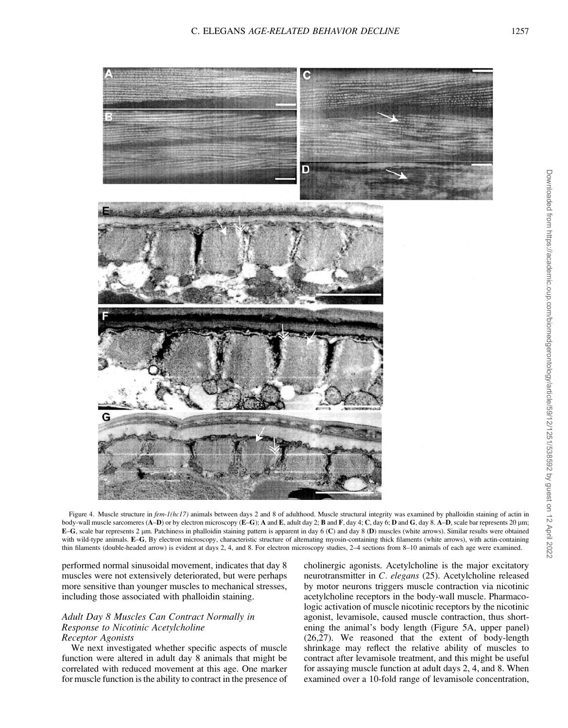

Figure 4. Muscle structure in fem-1(hc17) animals between days 2 and 8 of adulthood. Muscle structural integrity was examined by phalloidin staining of actin in body-wall muscle sarcomeres  $(A-D)$  or by electron microscopy  $(E-G)$ ; A and E, adult day 2; B and F, day 4; C, day 6; D and G, day 8. A–D, scale bar represents 20 µm;  $E-G$ , scale bar represents 2  $\mu$ m. Patchiness in phalloidin staining pattern is apparent in day 6 (C) and day 8 (D) muscles (white arrows). Similar results were obtained with wild-type animals. E-G, By electron microscopy, characteristic structure of alternating myosin-containing thick filaments (white arrows), with actin-containing thin filaments (double-headed arrow) is evident at days 2, 4, and 8. For electron microscopy studies, 2–4 sections from 8–10 animals of each age were examined.

performed normal sinusoidal movement, indicates that day 8 muscles were not extensively deteriorated, but were perhaps more sensitive than younger muscles to mechanical stresses, including those associated with phalloidin staining.

# Adult Day 8 Muscles Can Contract Normally in Response to Nicotinic Acetylcholine Receptor Agonists

We next investigated whether specific aspects of muscle function were altered in adult day 8 animals that might be correlated with reduced movement at this age. One marker for muscle function is the ability to contract in the presence of cholinergic agonists. Acetylcholine is the major excitatory neurotransmitter in C. elegans (25). Acetylcholine released by motor neurons triggers muscle contraction via nicotinic acetylcholine receptors in the body-wall muscle. Pharmacologic activation of muscle nicotinic receptors by the nicotinic agonist, levamisole, caused muscle contraction, thus shortening the animal's body length (Figure 5A, upper panel) (26,27). We reasoned that the extent of body-length shrinkage may reflect the relative ability of muscles to contract after levamisole treatment, and this might be useful for assaying muscle function at adult days 2, 4, and 8. When examined over a 10-fold range of levamisole concentration,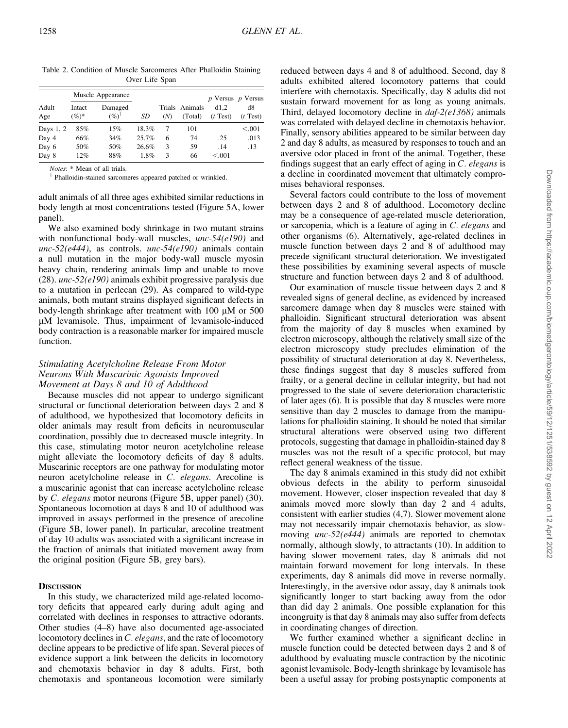| Adult<br>Age | Muscle Appearance  |                      |       |     |                           | $p$ Versus $p$ Versus |                  |
|--------------|--------------------|----------------------|-------|-----|---------------------------|-----------------------|------------------|
|              | Intact<br>$(\%)^*$ | Damaged<br>$(%)^{1}$ | SD    | (N) | Trials Animals<br>(Total) | d1.2<br>$(t$ Test)    | d8<br>$(t$ Test) |
| Days 1, 2    | 85%                | 15%                  | 18.3% | 7   | 101                       |                       | < 0.01           |
| Day 4        | 66%                | 34%                  | 25.7% | 6   | 74                        | .25                   | .013             |
| Day 6        | 50%                | 50%                  | 26.6% | 3   | 59                        | .14                   | .13              |
| Day 8        | 12%                | 88%                  | 1.8%  | 3   | 66                        | < 0.001               |                  |

Table 2. Condition of Muscle Sarcomeres After Phalloidin Staining Over Life Span

Notes: \* Mean of all trials.

<sup>†</sup> Phalloidin-stained sarcomeres appeared patched or wrinkled.

adult animals of all three ages exhibited similar reductions in body length at most concentrations tested (Figure 5A, lower panel).

We also examined body shrinkage in two mutant strains with nonfunctional body-wall muscles, unc-54(e190) and unc-52(e444), as controls. unc-54(e190) animals contain a null mutation in the major body-wall muscle myosin heavy chain, rendering animals limp and unable to move (28). unc-52(e190) animals exhibit progressive paralysis due to a mutation in perlecan (29). As compared to wild-type animals, both mutant strains displayed significant defects in body-length shrinkage after treatment with  $100 \mu M$  or  $500$ lM levamisole. Thus, impairment of levamisole-induced body contraction is a reasonable marker for impaired muscle function.

# Stimulating Acetylcholine Release From Motor Neurons With Muscarinic Agonists Improved Movement at Days 8 and 10 of Adulthood

Because muscles did not appear to undergo significant structural or functional deterioration between days 2 and 8 of adulthood, we hypothesized that locomotory deficits in older animals may result from deficits in neuromuscular coordination, possibly due to decreased muscle integrity. In this case, stimulating motor neuron acetylcholine release might alleviate the locomotory deficits of day 8 adults. Muscarinic receptors are one pathway for modulating motor neuron acetylcholine release in C. elegans. Arecoline is a muscarinic agonist that can increase acetylcholine release by C. elegans motor neurons (Figure 5B, upper panel) (30). Spontaneous locomotion at days 8 and 10 of adulthood was improved in assays performed in the presence of arecoline (Figure 5B, lower panel). In particular, arecoline treatment of day 10 adults was associated with a significant increase in the fraction of animals that initiated movement away from the original position (Figure 5B, grey bars).

### **DISCUSSION**

In this study, we characterized mild age-related locomotory deficits that appeared early during adult aging and correlated with declines in responses to attractive odorants. Other studies (4–8) have also documented age-associated locomotory declines in C. elegans, and the rate of locomotory decline appears to be predictive of life span. Several pieces of evidence support a link between the deficits in locomotory and chemotaxis behavior in day 8 adults. First, both chemotaxis and spontaneous locomotion were similarly

reduced between days 4 and 8 of adulthood. Second, day 8 adults exhibited altered locomotory patterns that could interfere with chemotaxis. Specifically, day 8 adults did not sustain forward movement for as long as young animals. Third, delayed locomotory decline in  $daf-2(e1368)$  animals was correlated with delayed decline in chemotaxis behavior. Finally, sensory abilities appeared to be similar between day 2 and day 8 adults, as measured by responses to touch and an aversive odor placed in front of the animal. Together, these findings suggest that an early effect of aging in C. elegans is a decline in coordinated movement that ultimately compromises behavioral responses.

Several factors could contribute to the loss of movement between days 2 and 8 of adulthood. Locomotory decline may be a consequence of age-related muscle deterioration, or sarcopenia, which is a feature of aging in C. elegans and other organisms (6). Alternatively, age-related declines in muscle function between days 2 and 8 of adulthood may precede significant structural deterioration. We investigated these possibilities by examining several aspects of muscle structure and function between days 2 and 8 of adulthood.

Our examination of muscle tissue between days 2 and 8 revealed signs of general decline, as evidenced by increased sarcomere damage when day 8 muscles were stained with phalloidin. Significant structural deterioration was absent from the majority of day 8 muscles when examined by electron microscopy, although the relatively small size of the electron microscopy study precludes elimination of the possibility of structural deterioration at day 8. Nevertheless, these findings suggest that day 8 muscles suffered from frailty, or a general decline in cellular integrity, but had not progressed to the state of severe deterioration characteristic of later ages (6). It is possible that day 8 muscles were more sensitive than day 2 muscles to damage from the manipulations for phalloidin staining. It should be noted that similar structural alterations were observed using two different protocols, suggesting that damage in phalloidin-stained day 8 muscles was not the result of a specific protocol, but may reflect general weakness of the tissue.

The day 8 animals examined in this study did not exhibit obvious defects in the ability to perform sinusoidal movement. However, closer inspection revealed that day 8 animals moved more slowly than day 2 and 4 adults, consistent with earlier studies (4,7). Slower movement alone may not necessarily impair chemotaxis behavior, as slowmoving *unc-52(e444)* animals are reported to chemotax normally, although slowly, to attractants (10). In addition to having slower movement rates, day 8 animals did not maintain forward movement for long intervals. In these experiments, day 8 animals did move in reverse normally. Interestingly, in the aversive odor assay, day 8 animals took significantly longer to start backing away from the odor than did day 2 animals. One possible explanation for this incongruity is that day 8 animals may also suffer from defects in coordinating changes of direction.

We further examined whether a significant decline in muscle function could be detected between days 2 and 8 of adulthood by evaluating muscle contraction by the nicotinic agonist levamisole. Body-length shrinkage by levamisole has been a useful assay for probing postsynaptic components at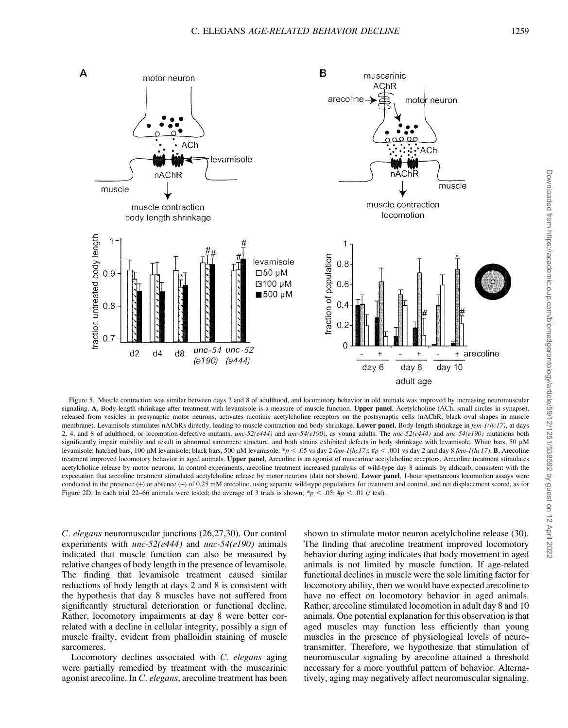

Figure 5. Muscle contraction was similar between days 2 and 8 of adulthood, and locomotory behavior in old animals was improved by increasing neuromuscular signaling. A, Body-length shrinkage after treatment with levamisole is a measure of muscle function. Upper panel, Acetylcholine (ACh, small circles in synapse), released from vesicles in presynaptic motor neurons, activates nicotinic acetylcholine receptors on the postsynaptic cells (nAChR, black oval shapes in muscle membrane). Levamisole stimulates nAChRs directly, leading to muscle contraction and body shrinkage. Lower panel, Body-length shrinkage in fem-1(hc17), at days 2, 4, and 8 of adulthood, or locomotion-defective mutants, unc-52(e444) and unc-54(e190), as young adults. The unc-52(e444) and unc-54(e190) mutations both significantly impair mobility and result in abnormal sarcomere structure, and both strains exhibited defects in body shrinkage with levamisole. White bars, 50 µM levamisole; hatched bars, 100 µM levamisole; black bars, 500 µM levamisole; \*p < .05 vs day 2 fem-1(hc17); #p < .001 vs day 2 and day 8 fem-1(hc17). B, Arecoline treatment improved locomotory behavior in aged animals. Upper panel, Arecoline is an agonist of muscarinic acetylcholine receptors. Arecoline treatment stimulates acetylcholine release by motor neurons. In control experiments, arecoline treatment increased paralysis of wild-type day 8 animals by aldicarb, consistent with the expectation that arecoline treatment stimulated acetylcholine release by motor neurons (data not shown). Lower panel, 1-hour spontaneous locomotion assays were conducted in the presence  $(+)$  or absence  $(-)$  of 0.25 mM arecoline, using separate wild-type populations for treatment and control, and net displacement scored, as for Figure 2D. In each trial 22–66 animals were tested; the average of 3 trials is shown; \*p  $<$  .05; #p  $<$  .01 (t test).

C. elegans neuromuscular junctions (26,27,30). Our control experiments with  $unc-52(e444)$  and  $unc-54(e190)$  animals indicated that muscle function can also be measured by relative changes of body length in the presence of levamisole. The finding that levamisole treatment caused similar reductions of body length at days 2 and 8 is consistent with the hypothesis that day 8 muscles have not suffered from significantly structural deterioration or functional decline. Rather, locomotory impairments at day 8 were better correlated with a decline in cellular integrity, possibly a sign of muscle frailty, evident from phalloidin staining of muscle sarcomeres.

Locomotory declines associated with C. elegans aging were partially remedied by treatment with the muscarinic agonist arecoline. In C. elegans, arecoline treatment has been shown to stimulate motor neuron acetylcholine release (30). The finding that arecoline treatment improved locomotory behavior during aging indicates that body movement in aged animals is not limited by muscle function. If age-related functional declines in muscle were the sole limiting factor for locomotory ability, then we would have expected arecoline to have no effect on locomotory behavior in aged animals. Rather, arecoline stimulated locomotion in adult day 8 and 10 animals. One potential explanation for this observation is that aged muscles may function less efficiently than young muscles in the presence of physiological levels of neurotransmitter. Therefore, we hypothesize that stimulation of neuromuscular signaling by arecoline attained a threshold necessary for a more youthful pattern of behavior. Alternatively, aging may negatively affect neuromuscular signaling.